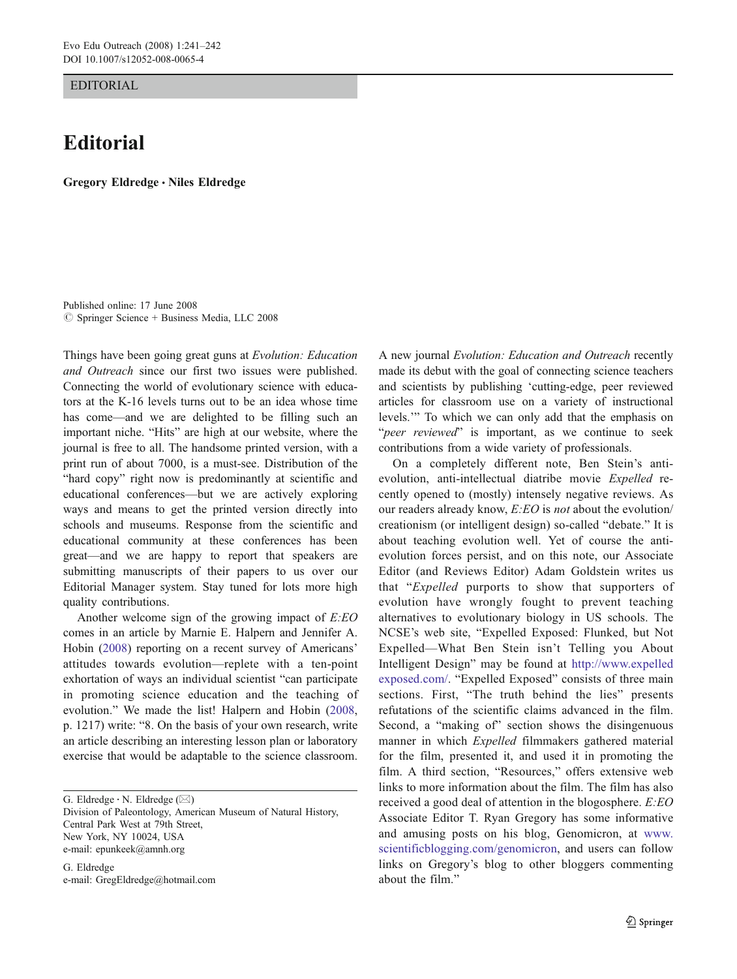EDITORIAL

## **Editorial**

Gregory Eldredge *&* Niles Eldredge

Published online: 17 June 2008  $\oslash$  Springer Science + Business Media, LLC 2008

Things have been going great guns at Evolution: Education and Outreach since our first two issues were published. Connecting the world of evolutionary science with educators at the K-16 levels turns out to be an idea whose time has come—and we are delighted to be filling such an important niche. "Hits" are high at our website, where the journal is free to all. The handsome printed version, with a print run of about 7000, is a must-see. Distribution of the "hard copy" right now is predominantly at scientific and educational conferences—but we are actively exploring ways and means to get the printed version directly into schools and museums. Response from the scientific and educational community at these conferences has been great—and we are happy to report that speakers are submitting manuscripts of their papers to us over our Editorial Manager system. Stay tuned for lots more high quality contributions.

Another welcome sign of the growing impact of E:EO comes in an article by Marnie E. Halpern and Jennifer A. Hobin [\(2008](#page-1-0)) reporting on a recent survey of Americans' attitudes towards evolution—replete with a ten-point exhortation of ways an individual scientist "can participate in promoting science education and the teaching of evolution." We made the list! Halpern and Hobin ([2008,](#page-1-0) p. 1217) write: "8. On the basis of your own research, write an article describing an interesting lesson plan or laboratory exercise that would be adaptable to the science classroom.

G. Eldredge *:* N. Eldredge (*\**)

Division of Paleontology, American Museum of Natural History, Central Park West at 79th Street, New York, NY 10024, USA e-mail: epunkeek@amnh.org

G. Eldredge e-mail: GregEldredge@hotmail.com A new journal Evolution: Education and Outreach recently made its debut with the goal of connecting science teachers and scientists by publishing 'cutting-edge, peer reviewed articles for classroom use on a variety of instructional levels.'" To which we can only add that the emphasis on "peer reviewed" is important, as we continue to seek contributions from a wide variety of professionals.

On a completely different note, Ben Stein's antievolution, anti-intellectual diatribe movie Expelled recently opened to (mostly) intensely negative reviews. As our readers already know, E:EO is not about the evolution/ creationism (or intelligent design) so-called "debate." It is about teaching evolution well. Yet of course the antievolution forces persist, and on this note, our Associate Editor (and Reviews Editor) Adam Goldstein writes us that "Expelled purports to show that supporters of evolution have wrongly fought to prevent teaching alternatives to evolutionary biology in US schools. The NCSE's web site, "Expelled Exposed: Flunked, but Not Expelled—What Ben Stein isn't Telling you About Intelligent Design" may be found at [http://www.expelled](http://www.expelledexposed.com/) [exposed.com/](http://www.expelledexposed.com/). "Expelled Exposed" consists of three main sections. First, "The truth behind the lies" presents refutations of the scientific claims advanced in the film. Second, a "making of" section shows the disingenuous manner in which Expelled filmmakers gathered material for the film, presented it, and used it in promoting the film. A third section, "Resources," offers extensive web links to more information about the film. The film has also received a good deal of attention in the blogosphere. E:EO Associate Editor T. Ryan Gregory has some informative and amusing posts on his blog, Genomicron, at [www.](http://www.scientificblogging.com/genomicron) [scientificblogging.com/genomicron](http://www.scientificblogging.com/genomicron), and users can follow links on Gregory's blog to other bloggers commenting about the film."